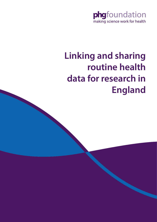

# **Linking and sharing routine health data for research in England**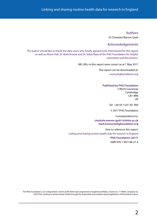#### Authors

Dr Charlotte Warren-Gash

### Acknowledgements

The author would like to thank the data users who kindly agreed to be interviewed for this report as well as Alison Hall, Dr Mark Kroese and Dr Sobia Raza of the PHG Foundation for helpful comments and discussions.

NB: URLs in this report were correct as at 1 May 2017

This report can be downloaded at: [www.phgfoundation.org](http://www.phgfoundation.org)

#### **Published by PHG Foundation**

2 Worts Causeway Cambridge CB1 8RN UK

Tel: +44 (0) 1223 761 900

© 2017 PHG Foundation

Correspondence to: **charlotte.warren-gash1@lshtm.ac.uk mark.kroese@phgfoundation.org**

How to reference this report: *Linking and sharing routine health data for research in England*  **PHG Foundation (2017)** ISBN 978-1-907198-27-4

The PHG Foundation is an independent, not for profit think-tank (registered in England and Wales, charity no. 1118664, company no. 5823194), working to achieve better health through the responsible and evidence based application of biomedical science.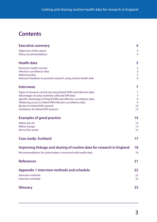## **Contents**

| <b>Executive summary</b>                                                                                                                                                                                                                                                                                                                            | 4                                         |
|-----------------------------------------------------------------------------------------------------------------------------------------------------------------------------------------------------------------------------------------------------------------------------------------------------------------------------------------------------|-------------------------------------------|
| Objectives of this report<br>Policy recommendations                                                                                                                                                                                                                                                                                                 | 4<br>4                                    |
| <b>Health data</b>                                                                                                                                                                                                                                                                                                                                  | 5                                         |
| <b>Electronic health records</b><br>Infection surveillance data<br>National policy<br>National initiatives to promote research using routine health data                                                                                                                                                                                            | 5<br>5<br>5<br>6                          |
| <b>Interviews</b>                                                                                                                                                                                                                                                                                                                                   | 7                                         |
| Types of research carried out using linked EHRs and infection data<br>Advantages of using routinely collected EHR data<br>Specific advantages of linked EHRs and infection surveillance data<br>Obtaining access to linked EHR-infection surveillance data<br><b>Barriers to linked EHR research</b><br><b>Facilitators for linked EHR research</b> | 7<br>$\overline{7}$<br>8<br>9<br>10<br>12 |
| <b>Examples of good practice</b>                                                                                                                                                                                                                                                                                                                    | 14                                        |
| Within the UK<br><b>Within Europe</b><br>Rest of the world                                                                                                                                                                                                                                                                                          | 14<br>15<br>15                            |
| <b>Case study: Scotland</b>                                                                                                                                                                                                                                                                                                                         | 17                                        |
| Improving linkage and sharing of routine data for research in England                                                                                                                                                                                                                                                                               | 18                                        |
| Recommendations for policymakers concerned with health data                                                                                                                                                                                                                                                                                         | 18                                        |
| <b>References</b>                                                                                                                                                                                                                                                                                                                                   | 21                                        |
| <b>Appendix 1 Interview methods and schedule</b><br>Interview methods<br>Interview schedule                                                                                                                                                                                                                                                         | 22<br>22<br>22                            |
| <b>Glossary</b>                                                                                                                                                                                                                                                                                                                                     | 23                                        |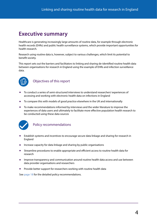## <span id="page-3-0"></span>**Executive summary**

Healthcare is generating increasingly large amounts of routine data, for example through electronic health records (EHRs) and public health surveillance systems, which provide important opportunities for health research.

Research using routine data is, however, subject to various challenges, which limit its potential to benefit society.

This report sets out the barriers and facilitators to linking and sharing de-identified routine health data between organisations for research in England using the example of EHRs and infection surveillance data.



### Objectives of this report

- **•** To conduct a series of semi-structured interviews to understand researchers' experiences of accessing and working with electronic health data on infections in England
- **•** To compare this with models of good practice elsewhere in the UK and internationally
- **•** To make recommendations informed by interviews and the wider literature to improve the experiences of data users and ultimately to facilitate more effective population health research to be conducted using these data sources



## Policy recommendations

- **•** Establish systems and incentives to encourage secure data linkage and sharing for research in England
- **•** Increase capacity for data linkage and sharing by public organisations
- **•** Streamline procedures to enable appropriate and efficient access to routine health data for research
- **•** Improve transparency and communication around routine health data access and use between data provider organisations and researchers
- **•** Provide better support for researchers working with routine health data

See [page 18](#page-17-1) for the detailed policy recommendations.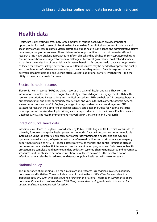## <span id="page-4-0"></span>**Health data**

Healthcare is generating increasingly large amounts of routine data, which provide important opportunities for health research. Routine data include data from clinical encounters in primary and secondary care, disease registries, vital registrations, public health surveillance and administrative claims databases, among other sources<sup>[1](#page-20-1)</sup>. These datasets offer opportunities to conduct powerful efficient research using novel analytic approaches to inform clinical and public health services<sup>2</sup>. Research using routine data is, however, subject to various challenges – technical, governance, political and financial – that limit the realisation of potential health system benefits<sup>[3](#page-20-3)</sup>. As routine health data are not primarily collected for research, linkage between several different sources may be needed to improve the quality and completeness of a dataset for answering particular health questions. Data linkage and sharing between data providers and end users is often subject to additional barriers, which further limit the utility of these rich datasets for research.

## Electronic health records

Electronic health records (EHRs) are digital records of a patient's health and care. They contain information on factors such as demographics, lifestyle, clinical diagnoses, engagement with health services, prescriptions, investigations and medical procedures. EHRs are held at GP surgeries, hospitals, out-patient clinics and other community care settings and vary in format, content, software system, access permissions and use<sup>[4](#page-20-4)</sup>. In England, a range of data providers curate pseudonymised EHR datasets for research including NHS Digital (secondary care data), the Office for National Statistics (vital registration data) and multiple primary care data providers such as the Clinical Practice Research Database (CPRD), The Health Improvement Network (THIN), IMS Health and QResearch.

### Infection surveillance data

Infection surveillance in England is coordinated by Public Health England (PHE), which contributes to UK-wide, European and global health protection networks. Data on infections comes from multiple systems including laboratories, clinical reports of statutory notifiable diseases and anonymous syndromic surveillance e.g. of gastrointestinal or influenza-like illnesses in primary care, emergency departments or calls to NHS 111. These datasets are vital to monitor and control infectious disease outbreaks and evaluate health interventions such as vaccination programmes<sup>[5](#page-20-5)</sup>. Data flows for health protection are complex and differences in data collection systems, sharing frameworks and governance structures limit the ability to harmonise infection surveillance data across the devolved nations. Infection data can also be linked to other datasets for public health surveillance or research.

## National policy

The importance of optimising EHRs for clinical care and research is recognised in a series of policy documents and initiatives. These include a commitment in the NHS Five Year Forward view to a 'paperless' NHS by 2020<sup>6</sup>, with plans outlined further in the National Information Governance Board document *Personalised health and care 2020: Using data and technology to transform outcomes for patients and citizens: a framework for action*[7](#page-20-6) .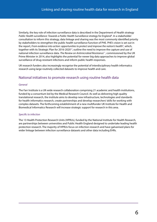<span id="page-5-0"></span>Similarly, the key role of infection surveillance data is described in the Department of Health strategy *Public Health surveillance: Towards a Public Health Surveillance strategy for England*[8](#page-20-7) . In a stakeholder consultation to inform this strategy, data linkage and sharing was the most commonly identified priority by stakeholders to strengthen the public health surveillance function of PHE. PHE's vision is set out in the report, *From evidence into action: opportunities to protect and improve the nation's health*<sup>[9](#page-20-8)</sup>, which, together with its Strategic Plan for 2016-2020<sup>10</sup>, outline the need to improve the capture and use of national infection surveillance data. *The Review on Antimicrobial Resistance*[11](#page-20-10), commissioned by the UK Prime Minister in 2014, also highlights the potential for newer big data approaches to improve global surveillance of drug-resistant infections and inform public health responses.

UK research funders also increasingly recognise the potential of interdisciplinary health informatics research using large routinely collected datasets to improve health and care.

### National initiatives to promote research using routine health data

#### *General*

The Farr Institute is a UK-wide research collaboration comprising 21 academic and health institutions, funded by a consortium led by the Medical Research Council. As well as delivering high quality translational research, the institute aims to develop new infrastructure, technologies and standards for health informatics research, create partnerships and develop researchers' skills for working with complex datasets. The forthcoming establishment of a new multifunder UK Institute for Health and Biomedical Informatics Research will increase strategic support for research in this area.

#### *Specific to infection*

The 13 Health Protection Research Units (HPRUs), funded by the National Institute for Health Research, are partnerships between universities and Public Health England designed to undertake leading health protection research. The majority of HPRUs focus on infection research and have galvanised plans for wider linkage between infection surveillance datasets and other data including EHRs.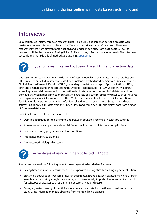## <span id="page-6-0"></span>**Interviews**

Semi-structured interviews about research using linked EHRs and infection surveillance data were carried out between January and March 2017 with a purposive sample of data users. These ten researchers were from different organisations and ranged in seniority from post-doctoral level to professors. All had experience of using linked EHRs including infection data for research. The interview schedule and more details of methods are given in [appendix 1](#page-21-1).



## Types of research carried out using linked EHRs and infection data

Data users reported carrying out a wide range of observational epidemiological research studies using EHRs linked to or including infection data. From England, they had used primary care data e.g. from the Clinical Practice Research Datalink (CPRD), secondary care data e.g. Hospital Episode Statistics (HES), birth and death registration records from the Office for National Statistics (ONS), pre-entry migrant screening data and disease-specific observational cohorts based on routine clinical data. In addition, they had analysed national infection surveillance datasets on acute respiratory viruses such as influenza and respiratory syncytial virus as well as TB, HIV, bloodstream and healthcare associated infections. Participants also reported conducting infection-related research using similar Scottish linked data sources, insurance claims data from the United States and combined EHR and claims data from a range of European databases.

Participants had used these data sources to:

- **•** Describe infectious burden over time and between countries, regions or healthcare settings
- **•** Answer aetiological questions about risk factors for infections or infectious complications
- **•** Evaluate screening programmes and interventions
- **•** Inform health service planning
- **•** Conduct methodological research



## Advantages of using routinely collected EHR data

Data users reported the following benefits to using routine health data for research:

- **•** Saving time and money because there is no expensive and logistically challenging data collection
- **•** Enhancing power to answer some research questions. Linkage between datasets may give a larger sample size than using a single data source, which is especially important for rare conditions and for subtypes of diseases such as dementia or coronary heart disease
- **•** Giving a greater phenotypic depth i.e. more detailed accurate information on the disease under study using information that is obtained from multiple linked datasets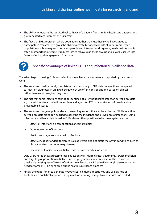- <span id="page-7-0"></span>**•** The ability to recreate the longitudinal pathway of a patient from multiple healthcare datasets, and give repeated measurement of risk factors
- **•** The fact that EHRs represent whole populations rather than just those who have agreed to participate in research. This gives the ability to create historical cohorts of under-represented populations such as migrants, homeless people and intravenous drug users, in whom infection is often an important outcome. It reduces loss to follow up in these groups and allows research into factors affecting disengagement from care



## Specific advantages of linked EHRs and infection surveillance data

The advantages of linking EHRs and infection surveillance data for research reported by data users were:

- **•** The enhanced quality, detail, completeness and accuracy of EHR data on infections, compared to infection diagnoses in unlinked EHRs, which are often non-specific and based on clinical rather than microbiological diagnoses
- **•** The fact that some infections cannot be identified at all without linked infection surveillance data e.g. some bloodstream infections, molecular diagnoses of TB or laboratory-confirmed vaccine preventable diseases
- **•** The enhanced range of policy-relevant research questions that can be addressed. While infection surveillance data alone can be used to describe the incidence and prevalence of infections, using infection surveillance data linked to EHRs allows other questions to be investigated such as:
	- Effects of infections on complications or comorbidities
	- Other outcomes of infections
	- Healthcare usage associated with infections
	- Effectiveness of standard therapies such as steroid and antibiotic therapy in conditions such as chronic obstructive pulmonary disease
	- Evaluation of major policy initiatives such as care bundles for sepsis

Data users noted that addressing these questions will inform clinical treatments, service provision and targeting of prevention initiatives such as programmes to reduce inequalities in vaccine uptake. Optimising use of linked infection surveillance data linked to EHRs might also obviate the need for some of PHE's enhanced public health surveillance practices

**•** Finally the opportunity to generate hypotheses in a more agnostic way and use a range of sophisticated analytical approaches e.g. machine learning in large linked datasets was noted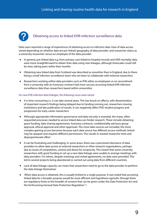<span id="page-8-0"></span>

## Obtaining access to linked EHR-infection surveillance data

Data users reported a range of experiences of obtaining access to infection data. Ease of data access varied depending on whether data are pre-linked; geography of data provider; and researcher status as a university researcher versus an employee of the data provider.

- **•** In general, pre-linked data e.g. from primary care linked to hospital records and ONS mortality data were more straightforward to obtain than data using new linkages, although timescales could still be slow, taking years rather than months
- **•** Obtaining new linked data from Scotland was described as smoother than in England, due to there being a small infection surveillance team who are keen to collaborate with external researchers
- **•** Researchers working within data providers such as PHE either as employees or on secondment from a university with an honorary contract had more success accessing linked EHR-infection surveillance data than researchers based within universities

#### *For new EHR-infection data linkages, the following issues were raised:*

- **•** It is time-consuming i.e. it can take several years. This has knock on effects, with dissemination of important research findings being delayed due to funding running out, researchers moving institutions and late publication of results. It can negatively affect PhD student progress and progression for early career researchers
- **•** Although appropriate information governance and data security is essential, the many, often sequential processes needed to access linked data can hinder research. These include obtaining grant funding, data sharing agreements, honorary contracts, confidentiality advisory group approval, ethical approval and other approvals. The more data sources are included, the more complex gaining access becomes because each data source has different access methods (which may be opaque) and requires different permissions. This results in wasted researcher time and disproportionate effort
- **•** It can be frustrating and challenging. In some areas, there was a perceived reluctance of data providers to allow data access to external researchers or other research organisations, perhaps due to issues of competition, control and desire for reciprocity. This meant that some university researchers with grant funding to set up a new data linkage were unable to arrange meetings with data providers. For others, despite meetings and verbal agreements, no data were provided. This led to several projects being abandoned or carried out using data from different countries
- Lack of data linkage capacity can mean that researchers need to go to the data provider to perform the data linkage themselves
- **•** When data access is obtained, this is usually limited to a single purpose. It was noted that accessing linked data for a broader purpose would be more efficient and hypothesis-agnostic (though there are regulatory limits to the breadth of consent that can be given under the Data Protection Act and the forthcoming General Data Protection Regulation<sup>12</sup>)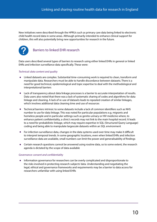<span id="page-9-0"></span>New initiatives were described through the HPRUs such as primary care data being linked to electronic child health record data in some areas. Although primarily intended to enhance clinical support for children, this will also potentially bring new opportunities for research in the future.



## Barriers to linked EHR research

Data users described several types of barriers to research using either linked EHRs in general or linked EHRs and infection surveillance data specifically. These were:

#### *Technical: data content and quality*

- **•** Linked datasets are complex. Substantial time-consuming work is required to clean, transform and manipulate data. Researchers must be able to handle discordance between datasets. There is a need for good technical, epidemiological and topic expertise to deal with the methodological and interpretational barriers
- **•** Lack of transparency about data linkage processes is a barrier to accurate interpretation of results. Data users also noted that there was a lack of systematic sharing of codes and algorithms for data linkage and cleaning. A lack of re-use of datasets leads to repeated creation of similar linkages, which involves additional data cleaning time and use of resources
- **•** Technical barriers intrinsic to some datasets include a lack of common identifiers such as NHS number to use for data linkage. This was noted for particular populations e.g. migrants and homeless people and in particular settings such as genito-urinary or HIV medicine where, to enhance patient confidentiality, a clinic's records may not link to the main hospital record. It leads to a need for probabilistic linkage, which may require expertise in SQL (Structured Query Language) coding and being able to manipulate largescale datasets within an SQL environment
- **•** For infection surveillance data, changes in the data systems used over time may make it difficult to interpret temporal trends. In some geographic locations, even when linked EHRs and infection surveillance data are available, small numbers can limit the power and generalisability of findings
- **•** Certain research questions cannot be answered using routine data, so to some extent, the research agenda is dictated by the scope of data available

#### *Governance: consent and confidentiality*

**•** Information governance for researchers can be overly complicated and disproportionate to the risks involved in protecting research subjects' data. Understanding and negotiating the legal, ethical and governance frameworks and requirements may be a barrier to data access for researchers unfamiliar with using linked EHRs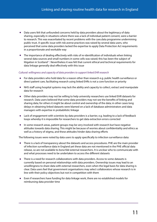- **•** Data users felt that unfounded concerns held by data providers about the legitimacy of data sharing, especially in situations where there was a lack of individual patient consent, were a barrier to research. This was exacerbated by recent problems with the care.data programme undermining public trust. A specific issue with risk averse practices was raised by several data users, who perceived that some data providers lacked the expertise to apply Data Protection Act requirements in a proportionate and workable way
- The importance of dealing effectively with risks of re-identification of individuals when linking several data sources and small numbers in some cells was raised; this has been the subject of litigation in Scotland<sup>13</sup>. Nevertheless it was felt that current ethical and technical requirements for data linkage generally deal effectively with this issue

#### *Cultural: willingness and capacity of data providers to support linked EHR research*

- **•** For data providers who hold data for a reason other than research e.g. public health surveillance or direct patient care, facilitating research using linked EHRs is not a core function or priority
- **•** NHS staff using hospital systems may lack the ability and capacity to collect, extract and manipulate data for research
- **•** Other data providers may not be willing to help university researchers use linked EHR datasets for research. Data users believed that some data providers may not see the benefits of linking and sharing data; for others it might be about control and ownership of the data; in other cases long delays in obtaining linked datasets were blamed on a lack of database administrators and data managers with expertise in probabilistic linkage
- **•** Lack of engagement with scientists by data providers is a barrier, e.g. leading to a lack of feedback loops whereby it is impossible for researchers to get data extraction errors corrected
- **•** In some research areas, patient groups may be very involved with research but have negative attitudes towards data sharing. This might be because of worries about confidentiality and ethics as well as a history of stigma, and these attitudes hinder data sharing efforts

The following issues were noted by data users to apply specifically to infection surveillance data:

- **•** There is a lack of transparency about the datasets and access procedures. PHE are the main provider of infection surveillance data in England yet these data are not mentioned in the PHE official data release, so are not available to *bona fide* external researchers. It is unclear who to communicate with and what processes need to be undertaken to access the different datasets
- **•** There is a need for research collaborations with data providers. Access to some datasets is currently based on personal relationships with data providers. Ownership issues may lead to an unwillingness to share data with external researchers, even when the legal basis for data sharing is clear. Data users feel that government organisations may select collaborators whose research is in line with their policy objectives but not in competition with them
- **•** Even if researchers have funding for data linkage work, there are no established models for reimbursing data provider time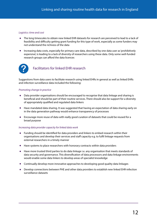#### <span id="page-11-0"></span>*Logistics: time and cost*

- **•** The long timescales to obtain new linked EHR datasets for research are perceived to lead to a lack of feasibility and difficulty getting grant funding for this type of work, especially as some funders may not understand the richness of the data
- **•** Increasing data costs, especially for primary care data, described by one data user as 'prohibitively expensive', is leading to a lack of diversity of researchers using these data. Only some well-funded research groups can afford the data licences



## Facilitators for linked EHR research

Suggestions from data users to facilitate research using linked EHRs in general as well as linked EHRs and infection surveillance data included the following:

#### *Promoting change in practice*

- **•** Data provider organisations should be encouraged to recognise that data linkage and sharing is beneficial and should be part of their routine services. There should also be support for a diversity of appropriately qualified and regulated data linkers
- **•** Have mandated data sharing. It was suggested that having an expectation of data sharing early on in the data generation pathway would enhance transparency of processes
- **•** Encourage more reuse of data with really good curation of datasets that could be reused for a broad purpose

#### *Increasing data provider capacity for linked data work*

- **•** Funding should be identified for data providers and linkers to embed research within their organisations and develop their services and staff capacity e.g. to fulfil linkage requests from external researchers in a timely manner
- **•** Have systems to place researchers with honorary contracts within data providers
- **•** Have more trusted third parties to do data linkage i.e. any organisation that meets standards of data security and governance. This diversification of data processors and data linkage environments would enable some data linkers to develop areas of specialist knowledge
- **•** Continually develop more innovative approaches to developing good quality data linkages
- **•** Develop connections between PHE and other data providers to establish new linked EHR-infection surveillance datasets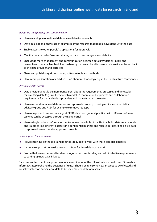#### *Increasing transparency and communication*

- **•** Have a catalogue of national datasets available for research
- **•** Develop a national showcase of examples of the research that people have done with the data
- **•** Enable access to other people's applications for approvals
- **•** Monitor data providers' use and sharing of data to encourage accountability
- **•** Encourage more engagement and communication between data providers or linkers and researchers to enable feedback loops whereby if a researcher discovers a mistake it can be fed back to the data provider and corrected
- **•** Share and publish algorithms, codes, software tools and methods.
- **•** Have more presentation of and discussion about methodology e.g. at the Farr Institute conferences

#### *Streamline data access*

- **•** Data providers should be more transparent about the requirements, processes and timescales for accessing data (e.g. like the Scottish model). A roadmap of the process and collaboration requirements for particular data providers and datasets would be useful
- **•** Have a more streamlined data access and approvals process, covering ethics, confidentiality advisory group and R&D, for example to remove red tape
- **•** Have one portal to access data, e.g. at CPRD, data from general practices with different software systems can be accessed through the same portal
- **•** Have a single national information centre across the whole of the UK that holds data very securely and is able to link different datasets in a confidential manner and release de-identified linked data to approved researchers for approved projects

#### *Better support for researchers*

- **•** Provide training on the tools and methods required to work with these complex datasets
- **•** Improve support at university research offices for linked database work
- **•** Ensure that researchers and funders recognise the time, funding and administrative requirements to setting up new data linkages

Data users noted that the appointment of a new director of the UK Institute for Health and Biomedical Informatics Research and the existence of HPRUs should enable some new linkages to be effected and for linked infection surveillance data to be used more widely for research.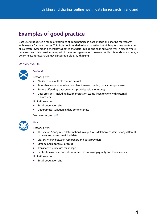## <span id="page-13-0"></span>**Examples of good practice**

Data users suggested a range of examples of good practice in data linkage and sharing for research with reasons for their choices. This list is not intended to be exhaustive but highlights some key features of successful systems. In general it was noted that data linkage and sharing works well in places where data users and data providers are part of the same organisation. However, while this tends to encourage policy-relevant research, it may discourage 'blue sky' thinking.

### Within the UK



#### *[Scotland](http://www.isdscotland.org/Products-and-Services/EDRIS/)*

Reasons given:

- **•** Ability to link multiple routine datasets
- **•** Smoother, more streamlined and less time-consuming data access processes
- **•** Service offered by data providers provides value for money
- **•** Data providers, including health protection teams, keen to work with external researchers

Limitations noted:

- **•** Small population size
- **•** Geographical variation in data completeness

See case study on [p17](#page-16-1)



#### *[Wales](https://saildatabank.com/)*

Reasons given:

- **•** The Secure Anonymised Information Linkage (SAIL) databank contains many different datasets and some pre-linked data
- **•** Closer synergy between researchers and data providers
- **•** Streamlined approvals process
- **•** Transparent processes for linkage
- **•** Publications on methods show interest in improving quality and transparency

Limitations noted:

**•** Small population size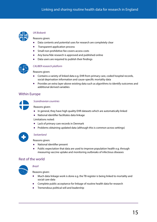<span id="page-14-0"></span>

#### *UK Biobank*

[Reasons giv](http://www.ukbiobank.ac.uk/)en:

- **•** Data contents and potential uses for research are completely clear
- **•** Transparent application process
- **•** Small non-prohibitive fee covers access costs
- **•** Any bona fide research is approved and published online
- **•** Data users are required to publish their findings



#### *[CALIBER research platform](http://www.ucl.ac.uk/health-informatics/research/data-lab/data-tools)*

Reasons given:

- **•** Contains a variety of linked data e.g. EHR from primary care, coded hospital records, social deprivation information and cause-specific mortality data
- **•** Provides an extra layer above existing data such as algorithms to identify outcomes and additional derived variables

### Within Europe



*Scandinavian countries*

Reasons given:

- **•** In general, they have high quality EHR datasets which are automatically linked
- **•** National identifier facilitates data linkage
- Limitations noted:
- **•** Lack of primary care records in Denmark
- **•** Problems obtaining updated data (although this is common across settings)



#### *Switzerland*

Reasons given:

- **•** National identifier present
- **•** Public expectation that data are used to improve population health e.g. through measuring vaccine uptake and monitoring outbreaks of infectious diseases

### Rest of the world



#### *Brazil*

Reasons given:

- **•** Much data linkage work is done e.g. the TB register is being linked to mortality and social care data
- **•** Complete public acceptance for linkage of routine health data for research
- **•** Tremendous political will and leadership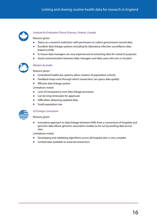

#### *[Institute for Evaluative Clinical Sciences, Ontario, Canada](https://www.ices.on.ca/About-ICES)*

#### Reasons given:

- **•** Status as a research institution with permission to collect government-owned data
- **•** Excellent data linkage systems including for laboratory infection surveillance data linked to EHRs
- **•** In-house data managers are very experienced at extracting data for research purposes
- **•** Good communication between data managers and data users who are co-located



#### *Western Australia*

Reasons given:

- **•** Centralised healthcare systems allow creation of population cohorts
- **•** Feedback loops exist through which researchers can query data quality
- **•** Efficient data linkage system

Limitations noted:

- **•** Lack of transparency over data linkage processes
- **•** Can be long timescales for approvals
- **•** Difficulties obtaining updated data
- **•** Small population size



#### *[US Emerge Consortium](https://emerge.mc.vanderbilt.edu/)*

Reasons given:

**•** Innovative approach to data linkage between EHRs from a consortium of hospitals and genomic data allows genomic association studies to be run by pooling data across sites

Limitations noted:

- **•** Developing and validating algorithms across all hospital sites is very complex
- **•** Limited data available to external researchers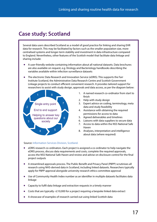## <span id="page-16-1"></span><span id="page-16-0"></span>**Case study: Scotland**

Several data users described Scotland as a model of good practice for linking and sharing EHR data for research. This may be facilitated by factors such as the smaller population size, more centralised systems and longer-term stability and investment in data infrastructure compared to England. Nevertheless, other features of the Scottish model that facilitate data linkage and sharing include:

- **•** A user-friendly website containing information about all national datasets. Data brochures are also available on request, e.g. Virology and Bacteriology handbooks describing the variables available within infection surveillance datasets
- **•** The electronic Data Research and Innovation Service (eDRIS). This supports the Farr Institute Scotland, the Administrative Data Research Centre and Scottish Government Linkage projects to conduct efficient convenient research. It provides tailored support for researchers to assist with study design, approvals and data access, as per the diagram below:



- 1. A named research co-ordinator from start to finish
- 2. Help with study design
- 3. Expert advice on coding, terminology, meta data and study feasibility
- 4. Assistance with obtaining the required permissions for access to data
- 5. Agreed deliverables and timelines
- 6. Liaisons with data suppliers to secure data
- 7. Access to data within the NSS National Safe Haven
- 8. Analyses, interpretation and intelligence about data (where required)

#### Source: [Information Services Division, Scotland](http://www.isdscotland.org/Products-and-Services/EDRIS/).

- **•** eDRIS research co-ordinators. Each project is assigned a co-ordinator to help navigate the eDRIS process, discuss data requirements and costs, complete the required approvals, access the NSS National Safe Haven and review and advise on disclosure control for the final project outputs
- **•** A streamlined approvals process. The Public Benefit and Privacy Panel (PBPP) scrutinises all research using NHS-derived data in Scotland, including linked datasets. Researchers typically apply for PBPP approval alongside university research ethics committee approval
- **•** Use of Community Health Index number as an identifier in multiple datasets facilitates data linkage
- **•** Capacity to fulfil data linkage and extraction requests in a timely manner
- **•** Costs that are typically <£10,000 for a project requiring a bespoke linked data extract
- **•** A showcase of examples of research carried out using linked Scottish data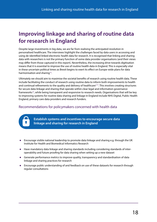## <span id="page-17-1"></span><span id="page-17-0"></span>**Improving linkage and sharing of routine data for research in England**

Despite large investments in big data, we are far from realising the anticipated revolution in personalised healthcare. The interviews highlight the challenges faced by data users in accessing and using de-identified linked electronic health data for research. It is recognised that linking and sharing data with researchers is not the primary function of some data provider organisations (and their views may differ from those captured in this report). Nevertheless, the increasing drive towards digitisation means that it is essential to improve the use of routine health data in England. This is especially vital in these uncertain political times as Brexit begins to exert its effect on Europe-wide plans for data harmonisation and sharing<sup>[14](#page-20-13)</sup>.

Ultimately we should aim to maximise the societal benefits of research using routine health data. These include facilitating the conduct of research using routine data to inform both improvements to health and continual refinements to the quality and delivery of healthcare<sup>[3,](#page-20-3)[15](#page-20-14)</sup>. This involves creating structures for secure data linkage and sharing that operate within clear legal and information governance frameworks<sup>16</sup>, while being transparent and responsive to research needs. Organisations that will be key to improving systems for routine data sharing and linkage in England include NHS Digital, Public Health England, primary care data providers and research funders.

### Recommendations for policymakers concerned with health data

**Establish systems and incentives to encourage secure data linkage and sharing for research in England**

- **•** Encourage visible national leadership to promote data linkage and sharing e.g. through the UK Institute for Health and Biomedical Informatics Research
- **•** Have mandatory data linkage and sharing standards including considering standards of interoperability and future proofing for data sharing when setting up a new dataset
- **•** Generate performance metrics to improve quality, transparency and standardisation of data linkage and sharing practices for research
- **•** Encourage public understanding of and feedback on use of these datasets for research through regular consultations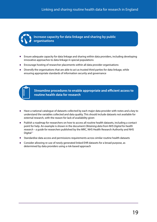

**Increase capacity for data linkage and sharing by public organisations**

- **•** Ensure adequate capacity for data linkage and sharing within data providers, including developing innovative approaches to data linkage in special populations
- **•** Encourage hosting of researcher placements within all data provider organisations
- **•** Diversify the organisations that are able to act as trusted third parties for data linkage, while ensuring appropriate standards of information security and governance



Streamline procedures to enable appropriate and efficient access to routine health data for research

- **•** Have a national catalogue of datasets collected by each major data provider with notes and a key to understand the variables collected and data quality. This should include datasets not available for external research, with the reason for lack of availability given
- **•** Publish a roadmap for researchers on how to access all routine health datasets, including a contact point for help. An example is shown in the document *Obtaining data from NHS Digital for health research – a guide for researchers* published by the MRC, NHS Health Research Authority and NHS Digital<sup>17</sup>
- **•** Standardise data access and permissions requirements across similar routine health datasets
- **•** Consider allowing re-use of newly generated linked EHR datasets for a broad purpose, as determined by data providers using a risk-based approach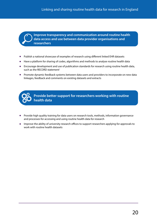**Improve transparency and communication around routine health data access and use between data provider organisations and researchers**

- **•** Publish a national showcase of examples of research using different linked EHR datasets
- **•** Have a platform for sharing of codes, algorithms and methods to analyse routine health data
- **•** Encourage development and use of publication standards for research using routine health data, such as the RECORD statement<sup>[1](#page-20-1)</sup>
- **•** Promote dynamic feedback systems between data users and providers to incorporate on new data linkages, feedback and comments on existing datasets and extracts



**Provide better support for researchers working with routine health data**

- Provide high quality training for data users on research tools, methods, information governance and processes for accessing and using routine health data for research
- **•** Improve the ability of university research offices to support researchers applying for approvals to work with routine health datasets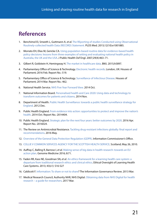## <span id="page-20-0"></span>**References**

- <span id="page-20-1"></span>1. Benchimol EI, Smeeth L, Guttmann A, *et al.* [The REporting of studies Conducted using Observational](https://www.ncbi.nlm.nih.gov/pubmed/26440803)  [Routinely-collected health Data \(RECORD\) Statement.](https://www.ncbi.nlm.nih.gov/pubmed/26440803) PLOS Med. 2015;12(10):e1001885.
- <span id="page-20-2"></span>2. Morrato EH, Elias M, Gericke CA. [Using population-based routine data for evidence-based health](https://www.ncbi.nlm.nih.gov/pubmed/17942850)  [policy decisions: lessons from three examples of setting and evaluating national health policy in](https://www.ncbi.nlm.nih.gov/pubmed/17942850)  [Australia, the UK and the USA](https://www.ncbi.nlm.nih.gov/pubmed/17942850). J Public Health Oxf Engl. 2007;29(4):463–71.
- <span id="page-20-3"></span>3. Gilbert R, Goldstein H, Hemingway H. [The market in healthcare data.](http://www.bmj.com/content/351/bmj.h5897) BMJ. 2015;h5897.
- <span id="page-20-4"></span>4. [Parliamentary Office of Science & Technology. Electronic health records.](http://researchbriefings.parliament.uk/ResearchBriefing/Summary/POST-PN-0519#fullreport) London, UK: Houses of Parliament; 2016 Feb. Report No.: 519.
- <span id="page-20-5"></span>5. [Parliamentary Office of Science & Technology. Surveillance of Infectious Disease.](http://researchbriefings.parliament.uk/ResearchBriefing/Summary/POST-PN-462#fullreport) Houses of Parliament; 2014 Mar. Report No.: 462.
- 6. National Health Service. [NHS Five Year Forward View.](https://www.england.nhs.uk/wp-content/uploads/2014/10/5yfv-web.pdf) 2014 Oct.
- <span id="page-20-6"></span>7. National Information Board. [Personalised health and Care 2020: Using data and technology to](https://www.gov.uk/government/uploads/system/uploads/attachment_data/file/384650/NIB_Report.pdf)  [transform outcomes for patients and citizens.](https://www.gov.uk/government/uploads/system/uploads/attachment_data/file/384650/NIB_Report.pdf) 2014 Nov.
- <span id="page-20-7"></span>8. Department of Health. Public Health Surveillance: towards a public health surveillance strategy for [England.](https://www.gov.uk/government/publications/public-health-surveillance-strategy-overview-published) 2012 Dec.
- <span id="page-20-8"></span>9. Public Health England. [From evidence into action: opportunities to protect and improve the nation's](https://www.gov.uk/government/publications/from-evidence-into-action-opportunities-to-protect-and-improve-the-nations-health)  [health.](https://www.gov.uk/government/publications/from-evidence-into-action-opportunities-to-protect-and-improve-the-nations-health) 2014 Oct. Report No.: 2014404.
- <span id="page-20-9"></span>10. Public Health England. [Strategic plan for the next four years: better outcomes by 2020.](https://www.gov.uk/government/publications/public-health-england-strategic-plan) 2016 Apr. Report No.: 2016024.
- <span id="page-20-10"></span>11. The Review on Antimicrobial Resistance. Tackling drug-resistant infections globally: final report and [recommendations.](https://amr-review.org/sites/default/files/160525_Final%20paper_with%20cover.pdf) 2016 May.
- <span id="page-20-11"></span>12. [Overview of the General Data Protection Regulation \(GDPR\)](https://ico.org.uk/for-organisations/data-protection-reform/overview-of-the-gdpr/introduction/). Information Commissioner's Office.
- <span id="page-20-12"></span>13. [COLLIE V COMMON SERVICES AGENCY FOR THE SCOTTISH HEALTH SERVICE.](http://swarb.co.uk/collie-v-common-services-agency-for-the-scottish-health-service-sic-26-may-2010/) Scotland; May 26, 2010.
- <span id="page-20-13"></span>14. Auffray C, Balling R, Barroso I, *et al*. [Making sense of big data in health research: towards an EU](https://genomemedicine.biomedcentral.com/articles/10.1186/s13073-016-0323-y)  [action plan.](https://genomemedicine.biomedcentral.com/articles/10.1186/s13073-016-0323-y) Genome Medicine 2016; 8:71.
- <span id="page-20-14"></span>15. Faden RR, Kass NE, Goodman SN, *et al*. [An ethics framework for a learning health care system: a](http://onlinelibrary.wiley.com/doi/10.1002/hast.134/abstract)  [departure from traditional research ethics and clinical ethics](http://onlinelibrary.wiley.com/doi/10.1002/hast.134/abstract). Ethical Oversight of Learning Health Care Systems. 2013; 43(s1): S16-S27
- <span id="page-20-15"></span>16. [Caldicott F. Information: To share or not to share?](https://www.gov.uk/government/uploads/system/uploads/attachment_data/file/192572/2900774_InfoGovernance_accv2.pdf) The Information Governance Review. 2013 Mar.
- <span id="page-20-16"></span>17. Medical Research Council, Authority NHR, NHS Digital. [Obtaining data from NHS Digital for health](https://www.mrc.ac.uk/documents/pdf/obtaining-nhs-digital-data-guidance-v300317/)  [research – a guide for researchers](https://www.mrc.ac.uk/documents/pdf/obtaining-nhs-digital-data-guidance-v300317/). 2017 Mar.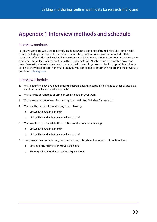## <span id="page-21-1"></span><span id="page-21-0"></span>**Appendix 1 Interview methods and schedule**

### Interview methods

Purposive sampling was used to identify academics with experience of using linked electronic health records including infection data for research. Semi-structured interviews were conducted with ten researchers of post-doctoral level and above from several higher education institutions. Interviews were conducted either face to face ( $n=8$ ) or on the telephone ( $n=2$ ). All interviews were written down and seven face to face interviews were also recorded, with recordings used to check and provide additional details to the written record. A thematic analysis was carried out to inform this report and the previously published [briefing note.](http://www.phgfoundation.org/briefing/linking-and-sharing-routine-health-data-for-research-in-England)

### Interview schedule

- 1. What experience have you had of using electronic health records (EHR) linked to other datasets e.g. infection surveillance data for research?
- 2. What are the advantages of using linked EHR data in your work?
- 3. What are your experiences of obtaining access to linked EHR data for research?
- 4. What are the barriers to conducting research using:
	- a. Linked EHR data in general?
	- b. Linked EHR and infection surveillance data?
- 5. What would help to facilitate the effective conduct of research using:
	- a. Linked EHR data in general?
	- b. Linked EHR and infection surveillance data?
- 6. Can you give any examples of good practice from elsewhere (national or international) of:
	- a. Linking EHR and infection surveillance data?
	- b. Sharing linked EHR data between organisations?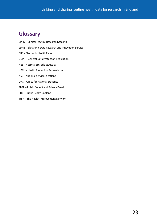## <span id="page-22-0"></span>**Glossary**

- CPRD Clinical Practice Research Datalink
- eDRIS Electronic Data Research and Innovation Service
- EHR Electronic Health Record
- GDPR General Data Protection Regulation
- HES Hospital Episode Statistics
- HPRU Health Protection Research Unit
- NSS National Services Scotland
- ONS Office for National Statistics
- PBPP Public Benefit and Privacy Panel
- PHE Public Health England
- THIN The Health Improvement Network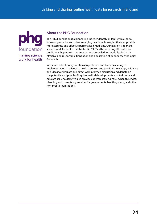

### About the PHG Foundation

The PHG Foundation is a pioneering independent think-tank with a special focus on genomics and other emerging health technologies that can provide more accurate and effective personalised medicine. Our mission is to make science work for health. Established in 1997 as the founding UK centre for public health genomics, we are now an acknowledged world leader in the effective and responsible translation and application of genomic technologies for health.

We create robust policy solutions to problems and barriers relating to implementation of science in health services, and provide knowledge, evidence and ideas to stimulate and direct well-informed discussion and debate on the potential and pitfalls of key biomedical developments, and to inform and educate stakeholders. We also provide expert research, analysis, health services planning and consultancy services for governments, health systems, and other non-profit organisations.